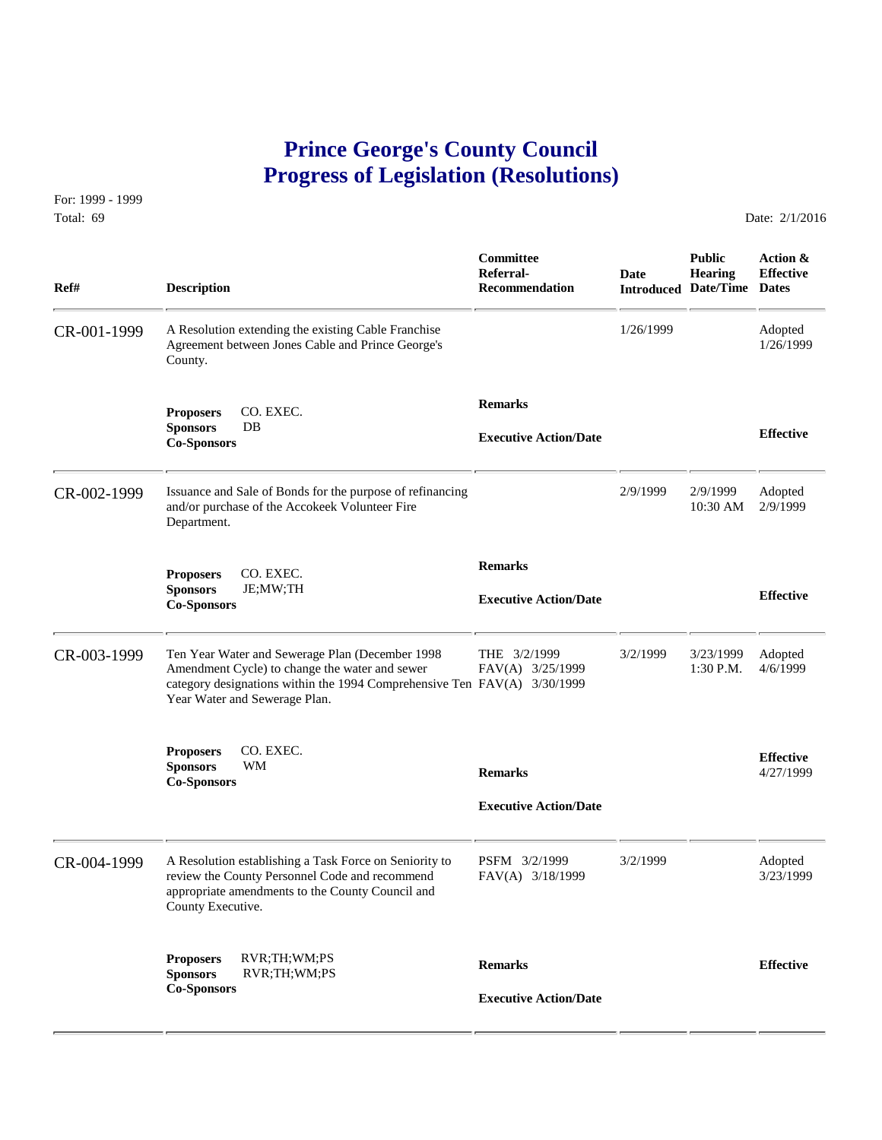## **Prince George's County Council Progress of Legislation (Resolutions)**

For: 1999 - 1999 Total: 69 Date: 2/1/2016

 **Committee Public Action & Referral- Date Hearing Effective Ref# Description Recommendation Introduced Date/Time Dates** CR-001-1999 A Resolution extending the existing Cable Franchise 1/26/1999 Adopted Agreement between Jones Cable and Prince George's 1/26/1999 1/26/1999 Agreement between Jones Cable and Prince George's County.  **Remarks Proposers** CO. EXEC. **Sponsors** DB **Effective Executive Action/Date Co-Sponsors**  CR-002-1999 Issuance and Sale of Bonds for the purpose of refinancing 2/9/1999 2/9/1999 Adopted<br>and/or purchase of the Accokeek Volunteer Fire 10:30 AM 2/9/1999 and/or purchase of the Accokeek Volunteer Fire Department.  **Remarks Proposers** CO. EXEC. **Sponsors** JE;MW;TH **Effective Executive Action/Date Co-Sponsors**  CR-003-1999 Ten Year Water and Sewerage Plan (December 1998 THE 3/2/1999 3/2/1999 3/23/1999 Adopted<br>Amendment Cycle) to change the water and sewer FAV(A) 3/25/1999 1:30 P.M. 4/6/1999 Amendment Cycle) to change the water and sewer category designations within the 1994 Comprehensive Ten FAV(A) 3/30/1999 Year Water and Sewerage Plan. **Proposers CO. EXEC. Effective Effective Effective Effective Effective Effective Effective Co-Sponsors WM Co-Sponsors A**/27/1999  **Executive Action/Date** CR-004-1999 A Resolution establishing a Task Force on Seniority to PSFM 3/2/1999 3/2/1999 Adopted<br>review the County Personnel Code and recommend FAV(A) 3/18/1999 3/23/1999 3/23/1999 review the County Personnel Code and recommend appropriate amendments to the County Council and County Executive. **Proposers** RVR;TH;WM;PS **Remarks Effective Sponsors** RVR;TH;WM;PS **Co-Sponsors Executive Action/Date**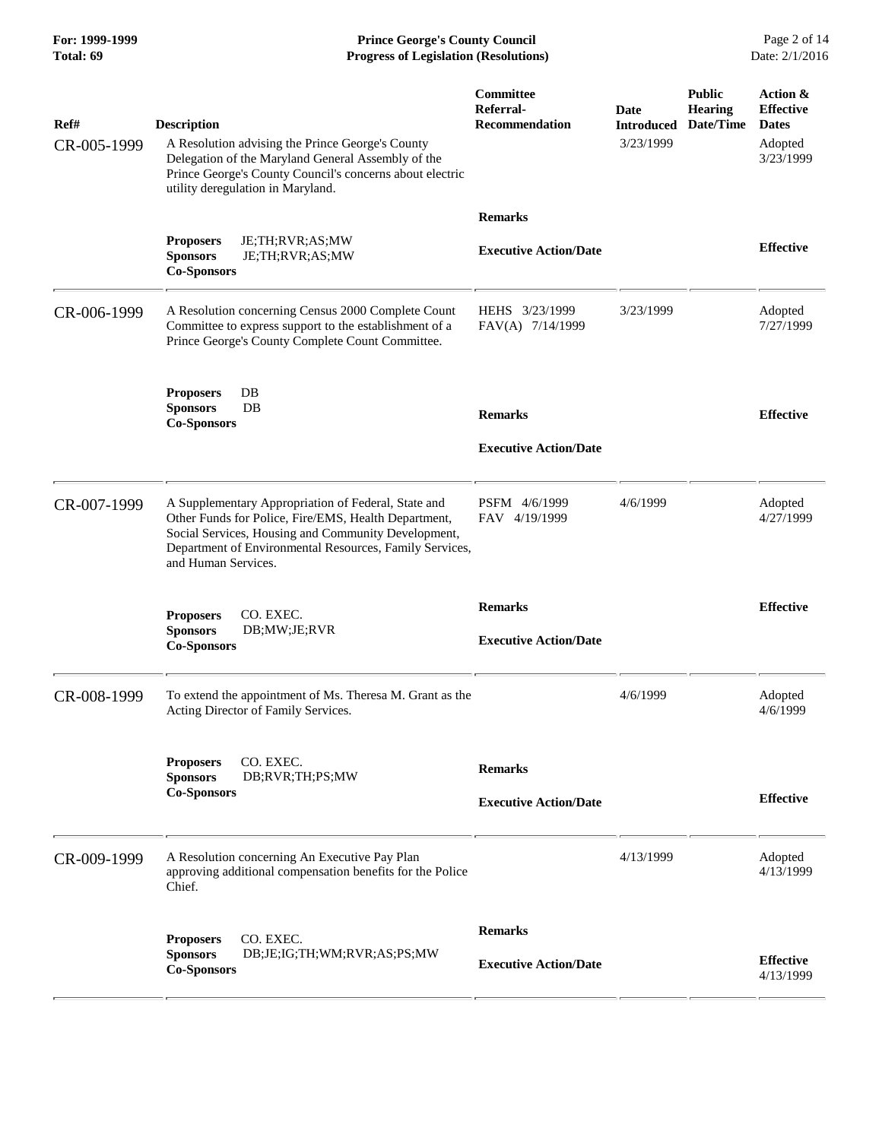**For: 1999-1999 Prince George's County Council** Page 2 of 14<br> **Progress of Legislation (Resolutions)** Date: 2/1/2016 **Total: 69 Progress of Legislation (Resolutions)** 

| Ref#<br>CR-005-1999 | <b>Description</b><br>A Resolution advising the Prince George's County<br>Delegation of the Maryland General Assembly of the<br>Prince George's County Council's concerns about electric<br>utility deregulation in Maryland.                        | Committee<br>Referral-<br><b>Recommendation</b> | Date<br><b>Introduced</b><br>3/23/1999 | <b>Public</b><br><b>Hearing</b><br>Date/Time | Action &<br><b>Effective</b><br><b>Dates</b><br>Adopted<br>3/23/1999 |
|---------------------|------------------------------------------------------------------------------------------------------------------------------------------------------------------------------------------------------------------------------------------------------|-------------------------------------------------|----------------------------------------|----------------------------------------------|----------------------------------------------------------------------|
|                     |                                                                                                                                                                                                                                                      | <b>Remarks</b>                                  |                                        |                                              |                                                                      |
|                     | <b>Proposers</b><br>JE;TH;RVR;AS;MW<br><b>Sponsors</b><br>JE;TH;RVR;AS;MW<br><b>Co-Sponsors</b>                                                                                                                                                      | <b>Executive Action/Date</b>                    |                                        |                                              | <b>Effective</b>                                                     |
| CR-006-1999         | A Resolution concerning Census 2000 Complete Count<br>Committee to express support to the establishment of a<br>Prince George's County Complete Count Committee.                                                                                     | HEHS 3/23/1999<br>FAV(A) 7/14/1999              | 3/23/1999                              |                                              | Adopted<br>7/27/1999                                                 |
|                     | <b>Proposers</b><br>DB<br><b>Sponsors</b><br>$DB$<br><b>Co-Sponsors</b>                                                                                                                                                                              | <b>Remarks</b>                                  |                                        |                                              | <b>Effective</b>                                                     |
|                     |                                                                                                                                                                                                                                                      | <b>Executive Action/Date</b>                    |                                        |                                              |                                                                      |
| CR-007-1999         | A Supplementary Appropriation of Federal, State and<br>Other Funds for Police, Fire/EMS, Health Department,<br>Social Services, Housing and Community Development,<br>Department of Environmental Resources, Family Services,<br>and Human Services. | PSFM 4/6/1999<br>FAV 4/19/1999                  | 4/6/1999                               |                                              | Adopted<br>4/27/1999                                                 |
|                     | CO. EXEC.<br><b>Proposers</b><br><b>Sponsors</b><br>DB;MW;JE;RVR<br><b>Co-Sponsors</b>                                                                                                                                                               | <b>Remarks</b><br><b>Executive Action/Date</b>  |                                        |                                              | <b>Effective</b>                                                     |
| CR-008-1999         | To extend the appointment of Ms. Theresa M. Grant as the<br>Acting Director of Family Services.                                                                                                                                                      |                                                 | 4/6/1999                               |                                              | Adopted<br>4/6/1999                                                  |
|                     | <b>Proposers</b><br>CO. EXEC.                                                                                                                                                                                                                        | <b>Remarks</b>                                  |                                        |                                              |                                                                      |
|                     | <b>Sponsors</b><br>DB;RVR;TH;PS;MW<br><b>Co-Sponsors</b>                                                                                                                                                                                             | <b>Executive Action/Date</b>                    |                                        |                                              | <b>Effective</b>                                                     |
| CR-009-1999         | A Resolution concerning An Executive Pay Plan<br>approving additional compensation benefits for the Police<br>Chief.                                                                                                                                 |                                                 | 4/13/1999                              |                                              | Adopted<br>4/13/1999                                                 |
|                     | CO. EXEC.<br><b>Proposers</b>                                                                                                                                                                                                                        | <b>Remarks</b>                                  |                                        |                                              |                                                                      |
|                     | <b>Sponsors</b><br>DB;JE;IG;TH;WM;RVR;AS;PS;MW<br><b>Co-Sponsors</b>                                                                                                                                                                                 | <b>Executive Action/Date</b>                    |                                        |                                              | <b>Effective</b><br>4/13/1999                                        |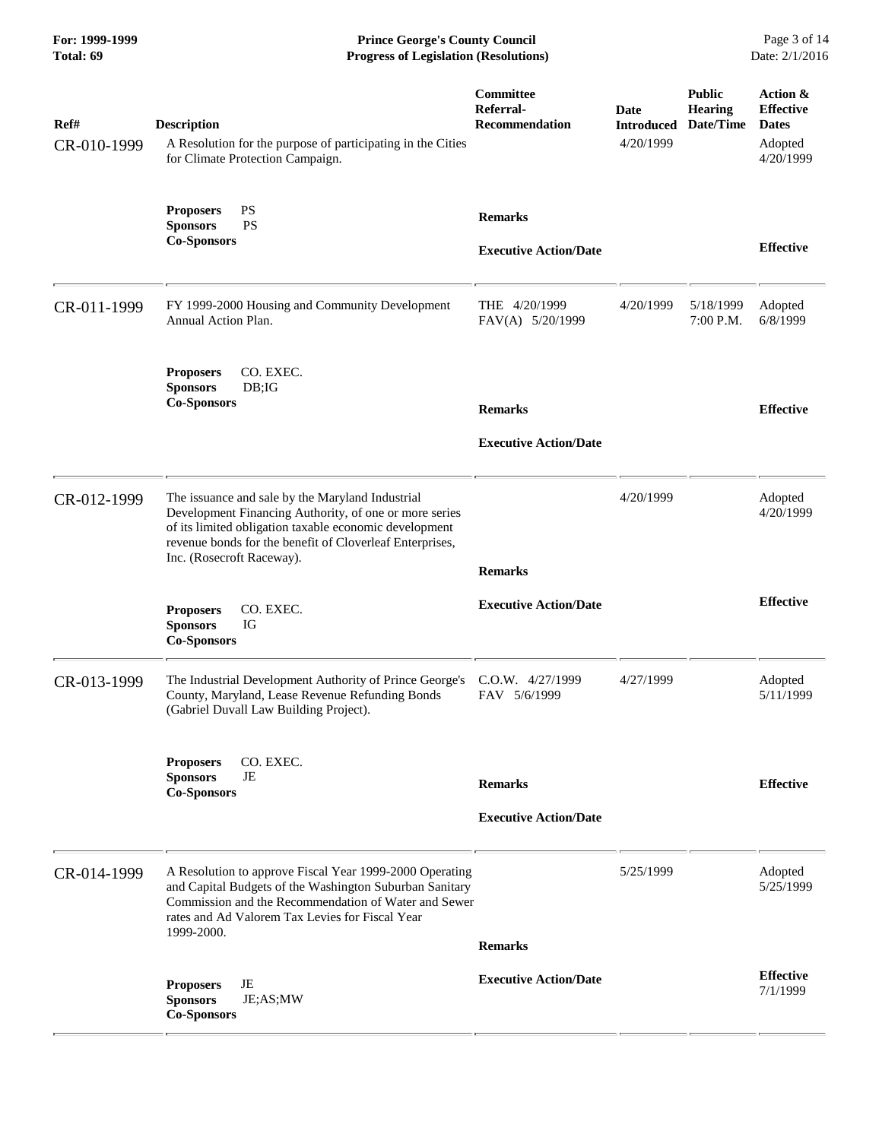**For: 1999-1999 Prince George's County Council** Page 3 of 14<br> **Progress of Legislation (Resolutions)** Date: 2/1/2016 **Total: 69 Progress of Legislation (Resolutions)** 

| Ref#<br>CR-010-1999 | <b>Description</b><br>A Resolution for the purpose of participating in the Cities<br>for Climate Protection Campaign.                                                                                                                                         | Committee<br>Referral-<br><b>Recommendation</b> | Date<br><b>Introduced</b><br>4/20/1999 | <b>Public</b><br><b>Hearing</b><br>Date/Time | Action &<br><b>Effective</b><br><b>Dates</b><br>Adopted<br>4/20/1999 |
|---------------------|---------------------------------------------------------------------------------------------------------------------------------------------------------------------------------------------------------------------------------------------------------------|-------------------------------------------------|----------------------------------------|----------------------------------------------|----------------------------------------------------------------------|
|                     | <b>PS</b><br><b>Proposers</b><br><b>PS</b><br><b>Sponsors</b><br><b>Co-Sponsors</b>                                                                                                                                                                           | <b>Remarks</b><br><b>Executive Action/Date</b>  |                                        |                                              | <b>Effective</b>                                                     |
| CR-011-1999         | FY 1999-2000 Housing and Community Development<br>Annual Action Plan.                                                                                                                                                                                         | THE 4/20/1999<br>FAV(A) 5/20/1999               | 4/20/1999                              | 5/18/1999<br>7:00 P.M.                       | Adopted<br>6/8/1999                                                  |
|                     | CO. EXEC.<br><b>Proposers</b><br>DB; IG<br><b>Sponsors</b><br><b>Co-Sponsors</b>                                                                                                                                                                              | <b>Remarks</b><br><b>Executive Action/Date</b>  |                                        |                                              | <b>Effective</b>                                                     |
| CR-012-1999         | The issuance and sale by the Maryland Industrial<br>Development Financing Authority, of one or more series<br>of its limited obligation taxable economic development<br>revenue bonds for the benefit of Cloverleaf Enterprises,<br>Inc. (Rosecroft Raceway). | <b>Remarks</b>                                  | 4/20/1999                              |                                              | Adopted<br>4/20/1999                                                 |
|                     | <b>Proposers</b><br>CO. EXEC.<br><b>Sponsors</b><br>IG<br><b>Co-Sponsors</b>                                                                                                                                                                                  | <b>Executive Action/Date</b>                    |                                        |                                              | <b>Effective</b>                                                     |
| CR-013-1999         | The Industrial Development Authority of Prince George's<br>County, Maryland, Lease Revenue Refunding Bonds<br>(Gabriel Duvall Law Building Project).                                                                                                          | C.O.W. 4/27/1999<br>FAV 5/6/1999                | 4/27/1999                              |                                              | Adopted<br>5/11/1999                                                 |
|                     | <b>Proposers</b><br>CO. EXEC.<br><b>Sponsors</b><br>JE<br><b>Co-Sponsors</b>                                                                                                                                                                                  | <b>Remarks</b><br><b>Executive Action/Date</b>  |                                        |                                              | <b>Effective</b>                                                     |
| CR-014-1999         | A Resolution to approve Fiscal Year 1999-2000 Operating<br>and Capital Budgets of the Washington Suburban Sanitary<br>Commission and the Recommendation of Water and Sewer<br>rates and Ad Valorem Tax Levies for Fiscal Year<br>1999-2000.                   |                                                 | 5/25/1999                              |                                              | Adopted<br>5/25/1999                                                 |
|                     | JE<br><b>Proposers</b><br><b>Sponsors</b><br>JE;AS;MW<br><b>Co-Sponsors</b>                                                                                                                                                                                   | <b>Remarks</b><br><b>Executive Action/Date</b>  |                                        |                                              | <b>Effective</b><br>7/1/1999                                         |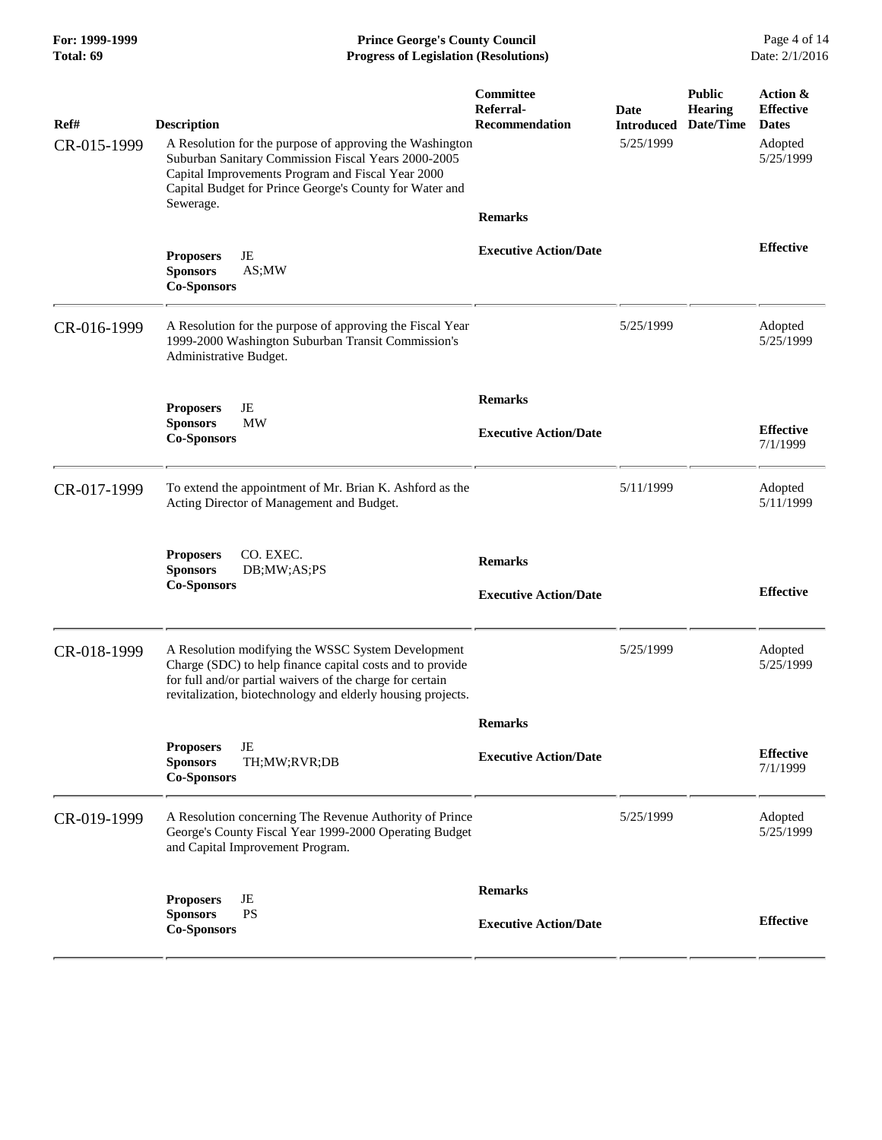**For: 1999-1999 Prince George's County Council** Page 4 of 14<br> **Progress of Legislation (Resolutions)** Date: 2/1/2016 **Total: 69 Progress of Legislation (Resolutions)** 

| Ref#        | <b>Description</b>                                                                                                                                                                                                                          | Committee<br>Referral-<br><b>Recommendation</b> | <b>Date</b><br><b>Introduced</b> | <b>Public</b><br><b>Hearing</b><br>Date/Time | Action &<br><b>Effective</b><br><b>Dates</b> |
|-------------|---------------------------------------------------------------------------------------------------------------------------------------------------------------------------------------------------------------------------------------------|-------------------------------------------------|----------------------------------|----------------------------------------------|----------------------------------------------|
| CR-015-1999 | A Resolution for the purpose of approving the Washington<br>Suburban Sanitary Commission Fiscal Years 2000-2005<br>Capital Improvements Program and Fiscal Year 2000<br>Capital Budget for Prince George's County for Water and             |                                                 | 5/25/1999                        |                                              | Adopted<br>5/25/1999                         |
|             | Sewerage.                                                                                                                                                                                                                                   | <b>Remarks</b>                                  |                                  |                                              |                                              |
|             | JE<br><b>Proposers</b><br>AS;MW<br><b>Sponsors</b><br><b>Co-Sponsors</b>                                                                                                                                                                    | <b>Executive Action/Date</b>                    |                                  |                                              | <b>Effective</b>                             |
| CR-016-1999 | A Resolution for the purpose of approving the Fiscal Year<br>1999-2000 Washington Suburban Transit Commission's<br>Administrative Budget.                                                                                                   |                                                 | 5/25/1999                        |                                              | Adopted<br>5/25/1999                         |
|             | JE<br><b>Proposers</b>                                                                                                                                                                                                                      | <b>Remarks</b>                                  |                                  |                                              |                                              |
|             | MW<br><b>Sponsors</b><br><b>Co-Sponsors</b>                                                                                                                                                                                                 | <b>Executive Action/Date</b>                    |                                  |                                              | <b>Effective</b><br>7/1/1999                 |
| CR-017-1999 | To extend the appointment of Mr. Brian K. Ashford as the<br>Acting Director of Management and Budget.                                                                                                                                       |                                                 | 5/11/1999                        |                                              | Adopted<br>5/11/1999                         |
|             | CO. EXEC.<br><b>Proposers</b><br>DB;MW;AS;PS<br><b>Sponsors</b><br><b>Co-Sponsors</b>                                                                                                                                                       | <b>Remarks</b><br><b>Executive Action/Date</b>  |                                  |                                              | <b>Effective</b>                             |
| CR-018-1999 | A Resolution modifying the WSSC System Development<br>Charge (SDC) to help finance capital costs and to provide<br>for full and/or partial waivers of the charge for certain<br>revitalization, biotechnology and elderly housing projects. |                                                 | 5/25/1999                        |                                              | Adopted<br>5/25/1999                         |
|             |                                                                                                                                                                                                                                             | <b>Remarks</b>                                  |                                  |                                              |                                              |
|             | JE<br><b>Proposers</b><br><b>Sponsors</b><br>TH;MW;RVR;DB<br><b>Co-Sponsors</b>                                                                                                                                                             | <b>Executive Action/Date</b>                    |                                  |                                              | <b>Effective</b><br>7/1/1999                 |
| CR-019-1999 | A Resolution concerning The Revenue Authority of Prince<br>George's County Fiscal Year 1999-2000 Operating Budget<br>and Capital Improvement Program.                                                                                       |                                                 | 5/25/1999                        |                                              | Adopted<br>5/25/1999                         |
|             | JE<br><b>Proposers</b><br><b>PS</b><br><b>Sponsors</b>                                                                                                                                                                                      | <b>Remarks</b><br><b>Executive Action/Date</b>  |                                  |                                              | <b>Effective</b>                             |
|             | <b>Co-Sponsors</b>                                                                                                                                                                                                                          |                                                 |                                  |                                              |                                              |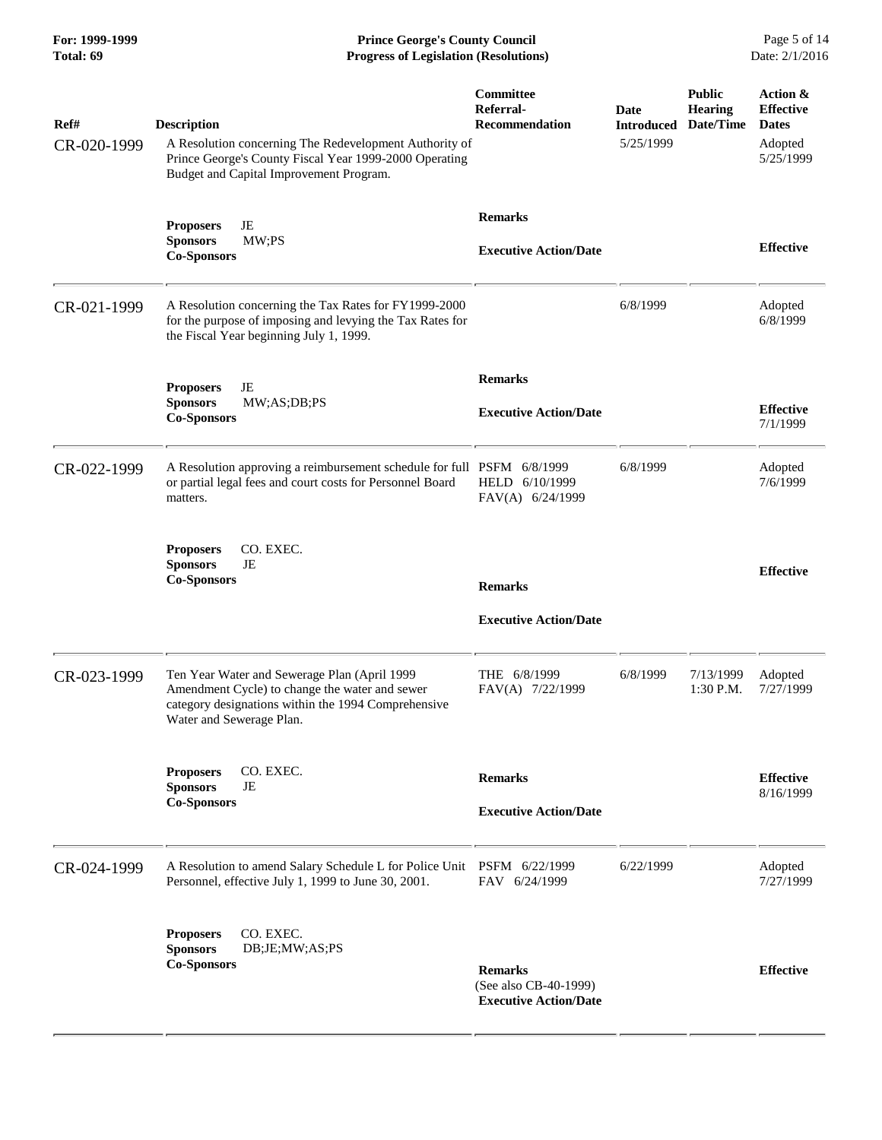**For: 1999-1999 Prince George's County Council** Page 5 of 14<br> **Progress of Legislation (Resolutions)** Date: 2/1/2016 **Total: 69 Progress of Legislation (Resolutions)** 

| Ref#<br>CR-020-1999 | <b>Description</b><br>A Resolution concerning The Redevelopment Authority of<br>Prince George's County Fiscal Year 1999-2000 Operating<br>Budget and Capital Improvement Program. | Committee<br>Referral-<br>Recommendation                                | Date<br><b>Introduced</b><br>5/25/1999 | <b>Public</b><br><b>Hearing</b><br>Date/Time | Action &<br><b>Effective</b><br><b>Dates</b><br>Adopted<br>5/25/1999 |
|---------------------|-----------------------------------------------------------------------------------------------------------------------------------------------------------------------------------|-------------------------------------------------------------------------|----------------------------------------|----------------------------------------------|----------------------------------------------------------------------|
|                     | JE<br><b>Proposers</b><br>MW; PS<br><b>Sponsors</b><br><b>Co-Sponsors</b>                                                                                                         | <b>Remarks</b><br><b>Executive Action/Date</b>                          |                                        |                                              | <b>Effective</b>                                                     |
| CR-021-1999         | A Resolution concerning the Tax Rates for FY1999-2000<br>for the purpose of imposing and levying the Tax Rates for<br>the Fiscal Year beginning July 1, 1999.                     |                                                                         | 6/8/1999                               |                                              | Adopted<br>6/8/1999                                                  |
|                     | JE<br><b>Proposers</b><br><b>Sponsors</b><br>MW;AS;DB;PS<br><b>Co-Sponsors</b>                                                                                                    | <b>Remarks</b><br><b>Executive Action/Date</b>                          |                                        |                                              | <b>Effective</b><br>7/1/1999                                         |
| CR-022-1999         | A Resolution approving a reimbursement schedule for full PSFM 6/8/1999<br>or partial legal fees and court costs for Personnel Board<br>matters.                                   | HELD 6/10/1999<br>FAV(A) 6/24/1999                                      | 6/8/1999                               |                                              | Adopted<br>7/6/1999                                                  |
|                     | CO. EXEC.<br><b>Proposers</b><br><b>Sponsors</b><br>JE<br><b>Co-Sponsors</b>                                                                                                      | <b>Remarks</b><br><b>Executive Action/Date</b>                          |                                        |                                              | <b>Effective</b>                                                     |
| CR-023-1999         | Ten Year Water and Sewerage Plan (April 1999<br>Amendment Cycle) to change the water and sewer<br>category designations within the 1994 Comprehensive<br>Water and Sewerage Plan. | THE 6/8/1999<br>FAV(A) 7/22/1999                                        | 6/8/1999                               | 7/13/1999<br>1:30 P.M.                       | Adopted<br>7/27/1999                                                 |
|                     | CO. EXEC.<br><b>Proposers</b><br><b>Sponsors</b><br>JE<br><b>Co-Sponsors</b>                                                                                                      | <b>Remarks</b><br><b>Executive Action/Date</b>                          |                                        |                                              | <b>Effective</b><br>8/16/1999                                        |
| CR-024-1999         | A Resolution to amend Salary Schedule L for Police Unit PSFM 6/22/1999<br>Personnel, effective July 1, 1999 to June 30, 2001.                                                     | FAV 6/24/1999                                                           | 6/22/1999                              |                                              | Adopted<br>7/27/1999                                                 |
|                     | <b>Proposers</b><br>CO. EXEC.<br><b>Sponsors</b><br>DB;JE;MW;AS;PS<br><b>Co-Sponsors</b>                                                                                          | <b>Remarks</b><br>(See also CB-40-1999)<br><b>Executive Action/Date</b> |                                        |                                              | <b>Effective</b>                                                     |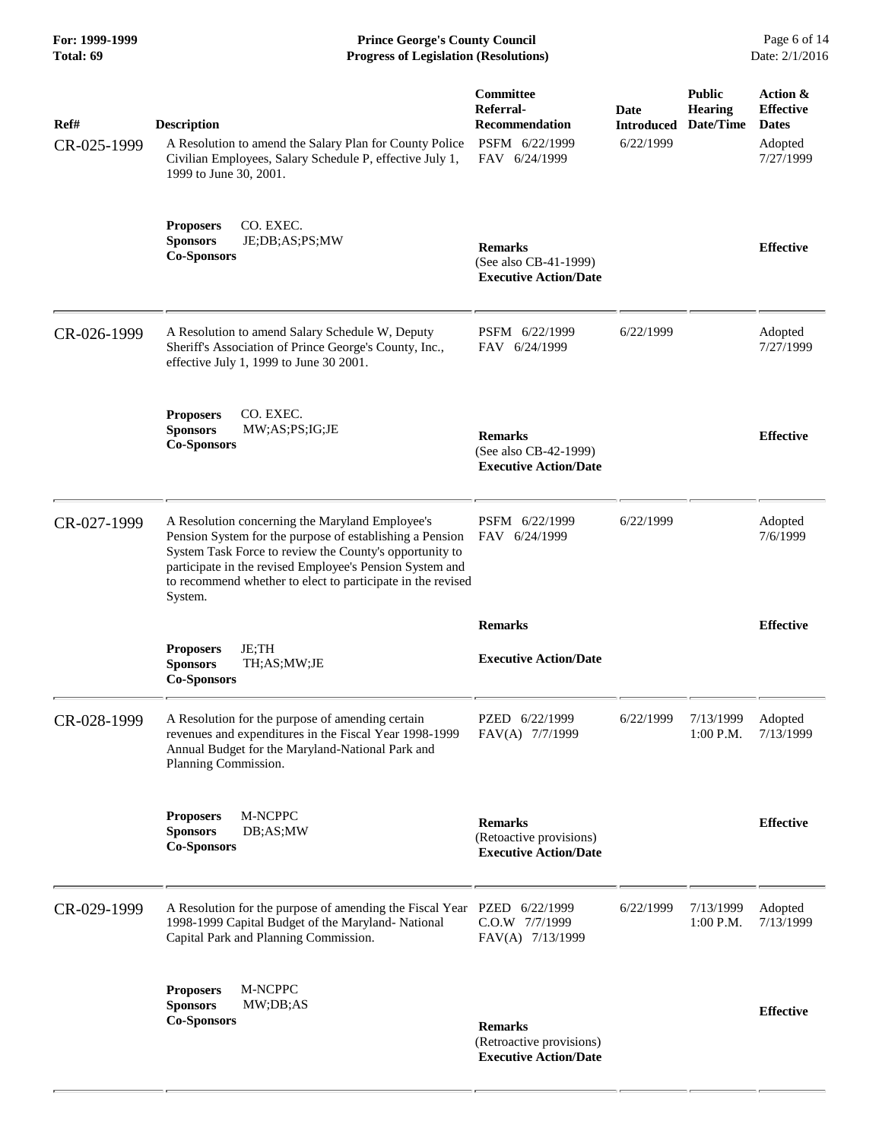| For: 1999-1999<br>Total: 69 | <b>Prince George's County Council</b><br>Date: 2/1/2016<br><b>Progress of Legislation (Resolutions)</b>                                                                                                                                                                                                      |                                                                                    |                                        |                                              |                                                                      |
|-----------------------------|--------------------------------------------------------------------------------------------------------------------------------------------------------------------------------------------------------------------------------------------------------------------------------------------------------------|------------------------------------------------------------------------------------|----------------------------------------|----------------------------------------------|----------------------------------------------------------------------|
| Ref#<br>CR-025-1999         | <b>Description</b><br>A Resolution to amend the Salary Plan for County Police<br>Civilian Employees, Salary Schedule P, effective July 1,<br>1999 to June 30, 2001.                                                                                                                                          | Committee<br>Referral-<br><b>Recommendation</b><br>PSFM 6/22/1999<br>FAV 6/24/1999 | Date<br><b>Introduced</b><br>6/22/1999 | <b>Public</b><br><b>Hearing</b><br>Date/Time | Action &<br><b>Effective</b><br><b>Dates</b><br>Adopted<br>7/27/1999 |
|                             | <b>Proposers</b><br>CO. EXEC.<br>JE;DB;AS;PS;MW<br><b>Sponsors</b><br><b>Co-Sponsors</b>                                                                                                                                                                                                                     | <b>Remarks</b><br>(See also CB-41-1999)<br><b>Executive Action/Date</b>            |                                        |                                              | <b>Effective</b>                                                     |
| CR-026-1999                 | A Resolution to amend Salary Schedule W, Deputy<br>Sheriff's Association of Prince George's County, Inc.,<br>effective July 1, 1999 to June 30 2001.                                                                                                                                                         | PSFM 6/22/1999<br>FAV 6/24/1999                                                    | 6/22/1999                              |                                              | Adopted<br>7/27/1999                                                 |
|                             | CO. EXEC.<br><b>Proposers</b><br><b>Sponsors</b><br>MW;AS;PS;IG;JE<br><b>Co-Sponsors</b>                                                                                                                                                                                                                     | <b>Remarks</b><br>(See also CB-42-1999)<br><b>Executive Action/Date</b>            |                                        |                                              | <b>Effective</b>                                                     |
| CR-027-1999                 | A Resolution concerning the Maryland Employee's<br>Pension System for the purpose of establishing a Pension<br>System Task Force to review the County's opportunity to<br>participate in the revised Employee's Pension System and<br>to recommend whether to elect to participate in the revised<br>System. | PSFM 6/22/1999<br>FAV 6/24/1999                                                    | 6/22/1999                              |                                              | Adopted<br>7/6/1999                                                  |
|                             |                                                                                                                                                                                                                                                                                                              | <b>Remarks</b>                                                                     |                                        |                                              | <b>Effective</b>                                                     |
|                             | JE;TH<br><b>Proposers</b><br>TH;AS;MW;JE<br><b>Sponsors</b><br>Co-Sponsors                                                                                                                                                                                                                                   | <b>Executive Action/Date</b>                                                       |                                        |                                              |                                                                      |
| CR-028-1999                 | A Resolution for the purpose of amending certain<br>revenues and expenditures in the Fiscal Year 1998-1999<br>Annual Budget for the Maryland-National Park and<br>Planning Commission.                                                                                                                       | PZED 6/22/1999<br>FAV(A) 7/7/1999                                                  | 6/22/1999                              | 7/13/1999<br>$1:00$ P.M.                     | Adopted<br>7/13/1999                                                 |
|                             | M-NCPPC<br><b>Proposers</b><br><b>Sponsors</b><br>DB;AS;MW<br><b>Co-Sponsors</b>                                                                                                                                                                                                                             | <b>Remarks</b><br>(Retoactive provisions)<br><b>Executive Action/Date</b>          |                                        |                                              | <b>Effective</b>                                                     |
| CR-029-1999                 | A Resolution for the purpose of amending the Fiscal Year<br>1998-1999 Capital Budget of the Maryland-National<br>Capital Park and Planning Commission.                                                                                                                                                       | PZED 6/22/1999<br>C.O.W 7/7/1999<br>FAV(A) 7/13/1999                               | 6/22/1999                              | 7/13/1999<br>$1:00$ P.M.                     | Adopted<br>7/13/1999                                                 |
|                             | <b>Proposers</b><br>M-NCPPC<br><b>Sponsors</b><br>MW; DB; AS<br><b>Co-Sponsors</b>                                                                                                                                                                                                                           | <b>Remarks</b><br>(Retroactive provisions)<br><b>Executive Action/Date</b>         |                                        |                                              | <b>Effective</b>                                                     |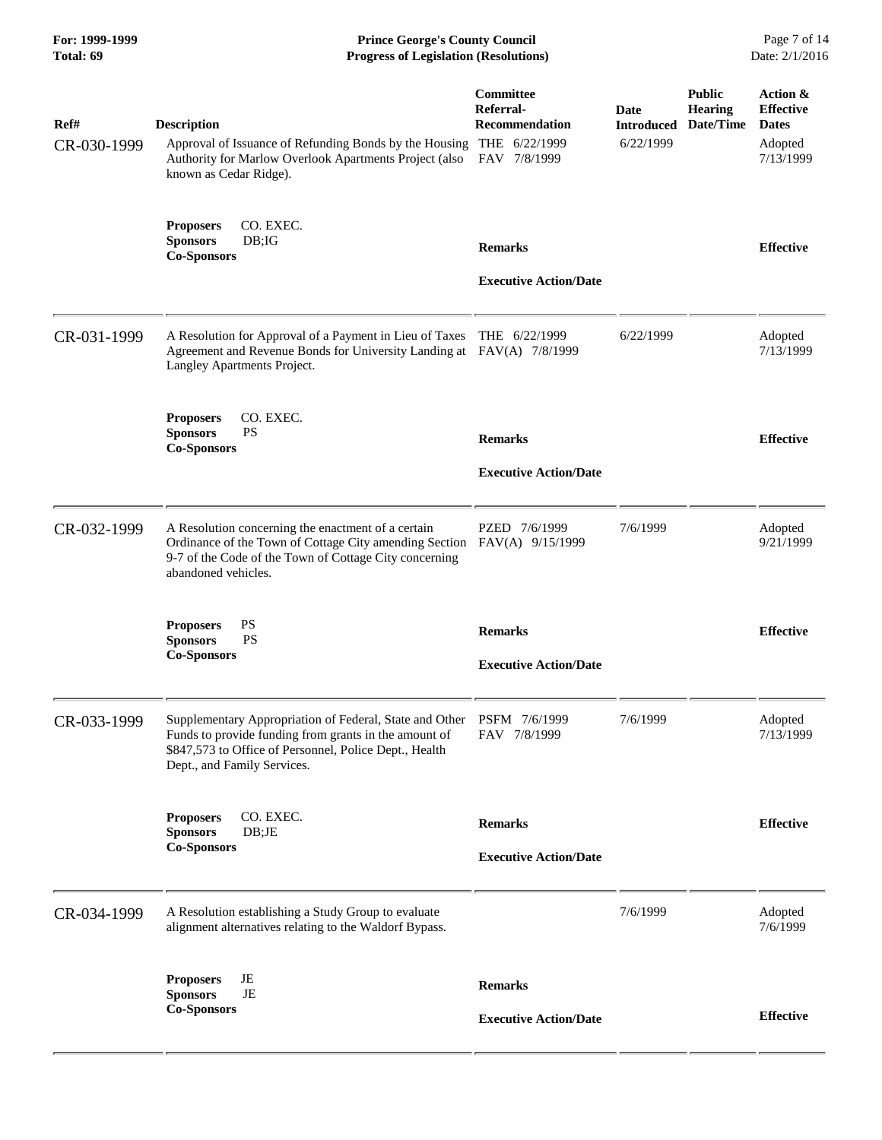| For: 1999-1999<br>Total: 69 | <b>Prince George's County Council</b><br><b>Progress of Legislation (Resolutions)</b>                                                                                                                     |                                                                 |                                        |                                              | Page 7 of 14<br>Date: 2/1/2016                                       |  |
|-----------------------------|-----------------------------------------------------------------------------------------------------------------------------------------------------------------------------------------------------------|-----------------------------------------------------------------|----------------------------------------|----------------------------------------------|----------------------------------------------------------------------|--|
| Ref#<br>CR-030-1999         | <b>Description</b><br>Approval of Issuance of Refunding Bonds by the Housing THE 6/22/1999<br>Authority for Marlow Overlook Apartments Project (also<br>known as Cedar Ridge).                            | <b>Committee</b><br>Referral-<br>Recommendation<br>FAV 7/8/1999 | Date<br><b>Introduced</b><br>6/22/1999 | <b>Public</b><br><b>Hearing</b><br>Date/Time | Action &<br><b>Effective</b><br><b>Dates</b><br>Adopted<br>7/13/1999 |  |
|                             | <b>Proposers</b><br>CO. EXEC.<br>DB; IG<br><b>Sponsors</b><br><b>Co-Sponsors</b>                                                                                                                          | <b>Remarks</b><br><b>Executive Action/Date</b>                  |                                        |                                              | <b>Effective</b>                                                     |  |
| CR-031-1999                 | A Resolution for Approval of a Payment in Lieu of Taxes<br>Agreement and Revenue Bonds for University Landing at FAV(A) 7/8/1999<br>Langley Apartments Project.                                           | THE 6/22/1999                                                   | 6/22/1999                              |                                              | Adopted<br>7/13/1999                                                 |  |
|                             | CO. EXEC.<br><b>Proposers</b><br><b>Sponsors</b><br><b>PS</b><br><b>Co-Sponsors</b>                                                                                                                       | <b>Remarks</b><br><b>Executive Action/Date</b>                  |                                        |                                              | <b>Effective</b>                                                     |  |
| CR-032-1999                 | A Resolution concerning the enactment of a certain<br>Ordinance of the Town of Cottage City amending Section<br>9-7 of the Code of the Town of Cottage City concerning<br>abandoned vehicles.             | PZED 7/6/1999<br>FAV(A) 9/15/1999                               | 7/6/1999                               |                                              | Adopted<br>9/21/1999                                                 |  |
|                             | <b>PS</b><br><b>Proposers</b><br><b>PS</b><br><b>Sponsors</b><br><b>Co-Sponsors</b>                                                                                                                       | <b>Remarks</b><br><b>Executive Action/Date</b>                  |                                        |                                              | <b>Effective</b>                                                     |  |
| CR-033-1999                 | Supplementary Appropriation of Federal, State and Other<br>Funds to provide funding from grants in the amount of<br>\$847,573 to Office of Personnel, Police Dept., Health<br>Dept., and Family Services. | PSFM 7/6/1999<br>FAV 7/8/1999                                   | 7/6/1999                               |                                              | Adopted<br>7/13/1999                                                 |  |
|                             | CO. EXEC.<br><b>Proposers</b><br><b>Sponsors</b><br>DB;JE<br><b>Co-Sponsors</b>                                                                                                                           | <b>Remarks</b><br><b>Executive Action/Date</b>                  |                                        |                                              | <b>Effective</b>                                                     |  |
| CR-034-1999                 | A Resolution establishing a Study Group to evaluate<br>alignment alternatives relating to the Waldorf Bypass.                                                                                             |                                                                 | 7/6/1999                               |                                              | Adopted<br>7/6/1999                                                  |  |
|                             | JE<br><b>Proposers</b><br><b>Sponsors</b><br>JE<br><b>Co-Sponsors</b>                                                                                                                                     | <b>Remarks</b><br><b>Executive Action/Date</b>                  |                                        |                                              | <b>Effective</b>                                                     |  |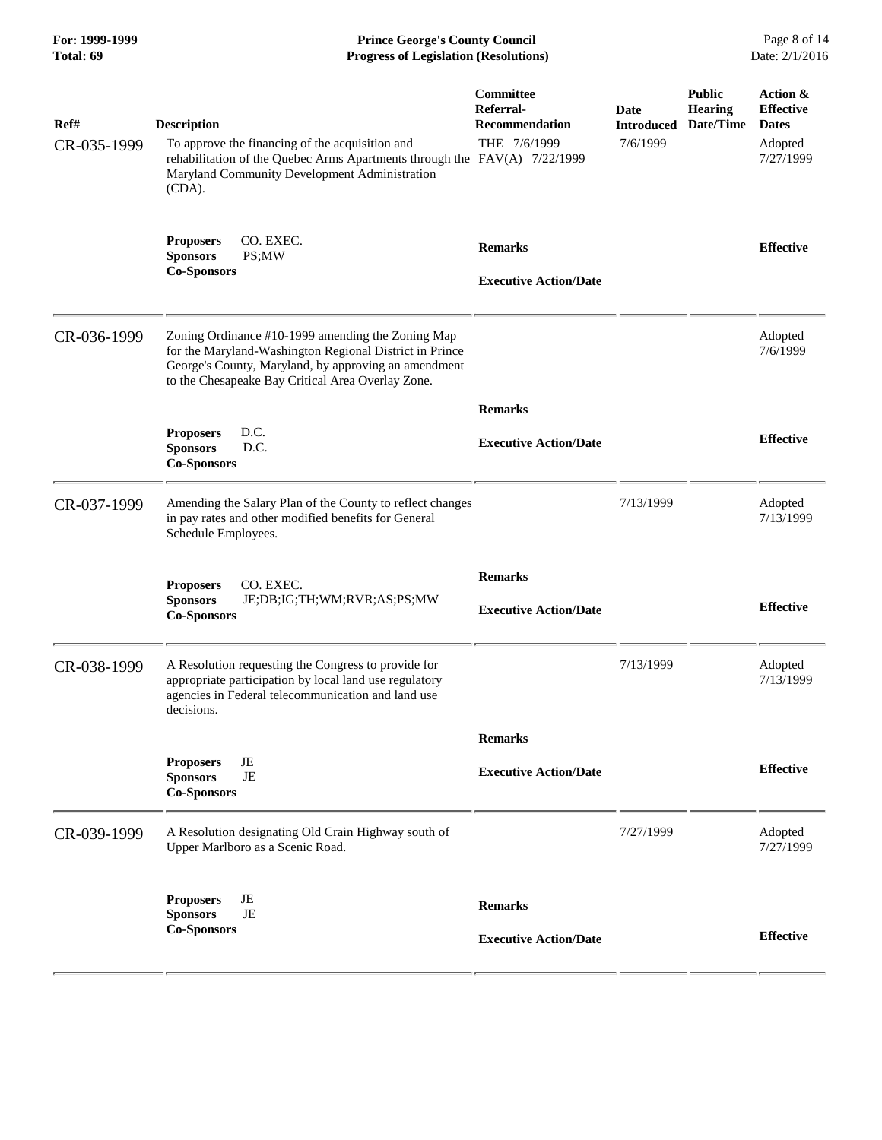| For: 1999-1999<br>Total: 69 | <b>Prince George's County Council</b><br><b>Progress of Legislation (Resolutions)</b>                                                                                                                                     |                                                                 |                                       |                                              |                                                                      |
|-----------------------------|---------------------------------------------------------------------------------------------------------------------------------------------------------------------------------------------------------------------------|-----------------------------------------------------------------|---------------------------------------|----------------------------------------------|----------------------------------------------------------------------|
| Ref#<br>CR-035-1999         | <b>Description</b><br>To approve the financing of the acquisition and<br>rehabilitation of the Quebec Arms Apartments through the FAV(A) 7/22/1999<br>Maryland Community Development Administration<br>(CDA).             | Committee<br>Referral-<br><b>Recommendation</b><br>THE 7/6/1999 | Date<br><b>Introduced</b><br>7/6/1999 | <b>Public</b><br><b>Hearing</b><br>Date/Time | Action &<br><b>Effective</b><br><b>Dates</b><br>Adopted<br>7/27/1999 |
|                             | CO. EXEC.<br><b>Proposers</b><br><b>Sponsors</b><br>PS;MW<br><b>Co-Sponsors</b>                                                                                                                                           | <b>Remarks</b><br><b>Executive Action/Date</b>                  |                                       |                                              | <b>Effective</b>                                                     |
| CR-036-1999                 | Zoning Ordinance #10-1999 amending the Zoning Map<br>for the Maryland-Washington Regional District in Prince<br>George's County, Maryland, by approving an amendment<br>to the Chesapeake Bay Critical Area Overlay Zone. |                                                                 |                                       |                                              | Adopted<br>7/6/1999                                                  |
|                             |                                                                                                                                                                                                                           | <b>Remarks</b>                                                  |                                       |                                              |                                                                      |
|                             | D.C.<br><b>Proposers</b><br>D.C.<br><b>Sponsors</b><br><b>Co-Sponsors</b>                                                                                                                                                 | <b>Executive Action/Date</b>                                    |                                       |                                              | <b>Effective</b>                                                     |
| CR-037-1999                 | Amending the Salary Plan of the County to reflect changes<br>in pay rates and other modified benefits for General<br>Schedule Employees.                                                                                  |                                                                 | 7/13/1999                             |                                              | Adopted<br>7/13/1999                                                 |
|                             | CO. EXEC.<br><b>Proposers</b><br><b>Sponsors</b><br>JE;DB;IG;TH;WM;RVR;AS;PS;MW<br><b>Co-Sponsors</b>                                                                                                                     | <b>Remarks</b><br><b>Executive Action/Date</b>                  |                                       |                                              | <b>Effective</b>                                                     |
| CR-038-1999                 | A Resolution requesting the Congress to provide for<br>appropriate participation by local land use regulatory<br>agencies in Federal telecommunication and land use<br>decisions.                                         |                                                                 | 7/13/1999                             |                                              | Adopted<br>7/13/1999                                                 |
|                             |                                                                                                                                                                                                                           | <b>Remarks</b>                                                  |                                       |                                              |                                                                      |
|                             | JE<br><b>Proposers</b><br>JE<br><b>Sponsors</b><br><b>Co-Sponsors</b>                                                                                                                                                     | <b>Executive Action/Date</b>                                    |                                       |                                              | <b>Effective</b>                                                     |
| CR-039-1999                 | A Resolution designating Old Crain Highway south of<br>Upper Marlboro as a Scenic Road.                                                                                                                                   |                                                                 | 7/27/1999                             |                                              | Adopted<br>7/27/1999                                                 |
|                             | JE<br><b>Proposers</b><br>JE<br><b>Sponsors</b><br><b>Co-Sponsors</b>                                                                                                                                                     | <b>Remarks</b>                                                  |                                       |                                              |                                                                      |
|                             |                                                                                                                                                                                                                           | <b>Executive Action/Date</b>                                    |                                       |                                              | <b>Effective</b>                                                     |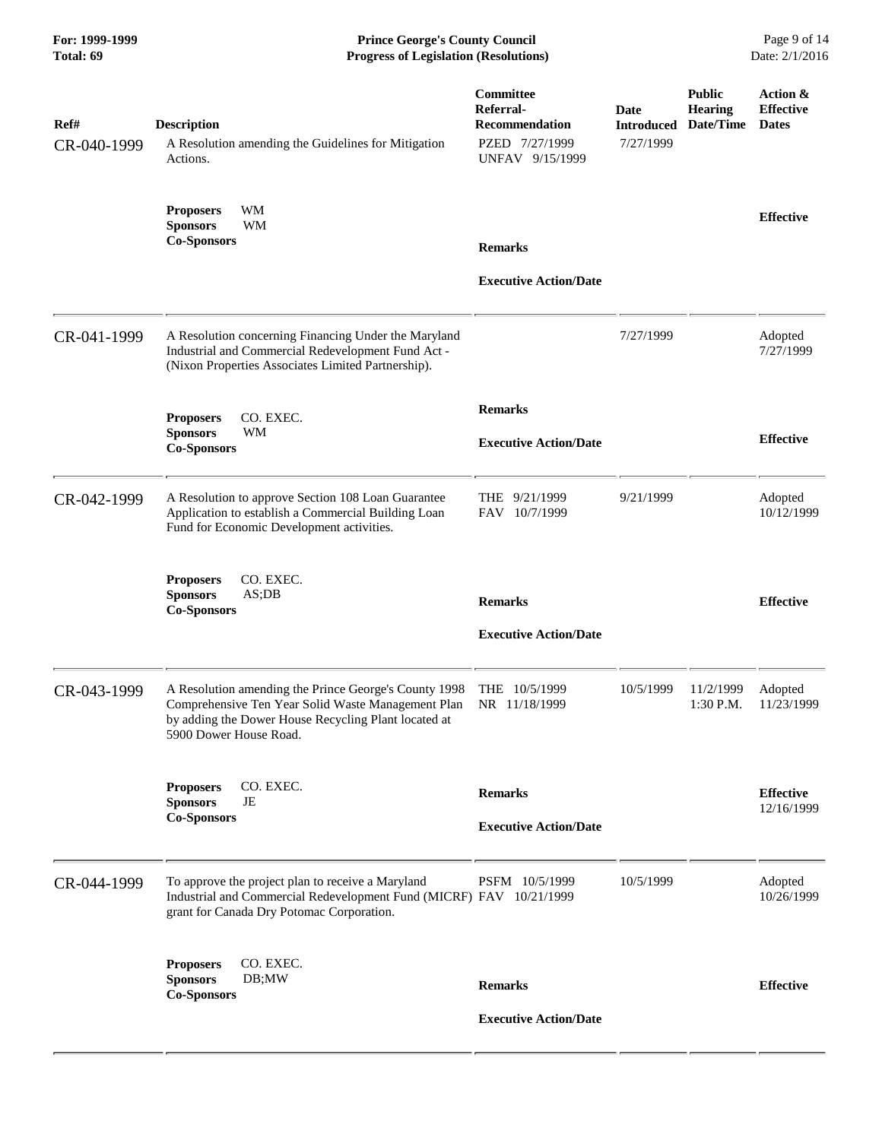**For: 1999-1999 Prince George's County Council** Page 9 of 14<br> **Progress of Legislation (Resolutions)** Date: 2/1/2016 **Total: 69 Progress of Legislation (Resolutions)** 

| Ref#<br>CR-040-1999 | <b>Description</b><br>A Resolution amending the Guidelines for Mitigation<br>Actions.                                                                                                         | Committee<br>Referral-<br><b>Recommendation</b><br>PZED 7/27/1999<br>UNFAV 9/15/1999 | <b>Date</b><br><b>Introduced</b><br>7/27/1999 | <b>Public</b><br><b>Hearing</b><br>Date/Time | Action &<br><b>Effective</b><br><b>Dates</b> |
|---------------------|-----------------------------------------------------------------------------------------------------------------------------------------------------------------------------------------------|--------------------------------------------------------------------------------------|-----------------------------------------------|----------------------------------------------|----------------------------------------------|
|                     | WM<br><b>Proposers</b><br><b>Sponsors</b><br>WM<br><b>Co-Sponsors</b>                                                                                                                         | <b>Remarks</b><br><b>Executive Action/Date</b>                                       |                                               |                                              | <b>Effective</b>                             |
| CR-041-1999         | A Resolution concerning Financing Under the Maryland<br>Industrial and Commercial Redevelopment Fund Act -<br>(Nixon Properties Associates Limited Partnership).                              |                                                                                      | 7/27/1999                                     |                                              | Adopted<br>7/27/1999                         |
|                     | CO. EXEC.<br><b>Proposers</b><br><b>Sponsors</b><br>WM<br><b>Co-Sponsors</b>                                                                                                                  | <b>Remarks</b><br><b>Executive Action/Date</b>                                       |                                               |                                              | <b>Effective</b>                             |
| CR-042-1999         | A Resolution to approve Section 108 Loan Guarantee<br>Application to establish a Commercial Building Loan<br>Fund for Economic Development activities.                                        | THE 9/21/1999<br>FAV 10/7/1999                                                       | 9/21/1999                                     |                                              | Adopted<br>10/12/1999                        |
|                     | CO. EXEC.<br><b>Proposers</b><br>AS;DB<br><b>Sponsors</b><br><b>Co-Sponsors</b>                                                                                                               | <b>Remarks</b><br><b>Executive Action/Date</b>                                       |                                               |                                              | <b>Effective</b>                             |
| CR-043-1999         | A Resolution amending the Prince George's County 1998<br>Comprehensive Ten Year Solid Waste Management Plan<br>by adding the Dower House Recycling Plant located at<br>5900 Dower House Road. | THE 10/5/1999<br>NR 11/18/1999                                                       | 10/5/1999                                     | 11/2/1999<br>1:30 P.M.                       | Adopted<br>11/23/1999                        |
|                     | CO. EXEC.<br><b>Proposers</b><br><b>Sponsors</b><br>JE<br><b>Co-Sponsors</b>                                                                                                                  | <b>Remarks</b><br><b>Executive Action/Date</b>                                       |                                               |                                              | <b>Effective</b><br>12/16/1999               |
| CR-044-1999         | To approve the project plan to receive a Maryland<br>Industrial and Commercial Redevelopment Fund (MICRF) FAV 10/21/1999<br>grant for Canada Dry Potomac Corporation.                         | PSFM 10/5/1999                                                                       | 10/5/1999                                     |                                              | Adopted<br>10/26/1999                        |
|                     | <b>Proposers</b><br>CO. EXEC.<br><b>Sponsors</b><br>DB;MW<br><b>Co-Sponsors</b>                                                                                                               | <b>Remarks</b><br><b>Executive Action/Date</b>                                       |                                               |                                              | <b>Effective</b>                             |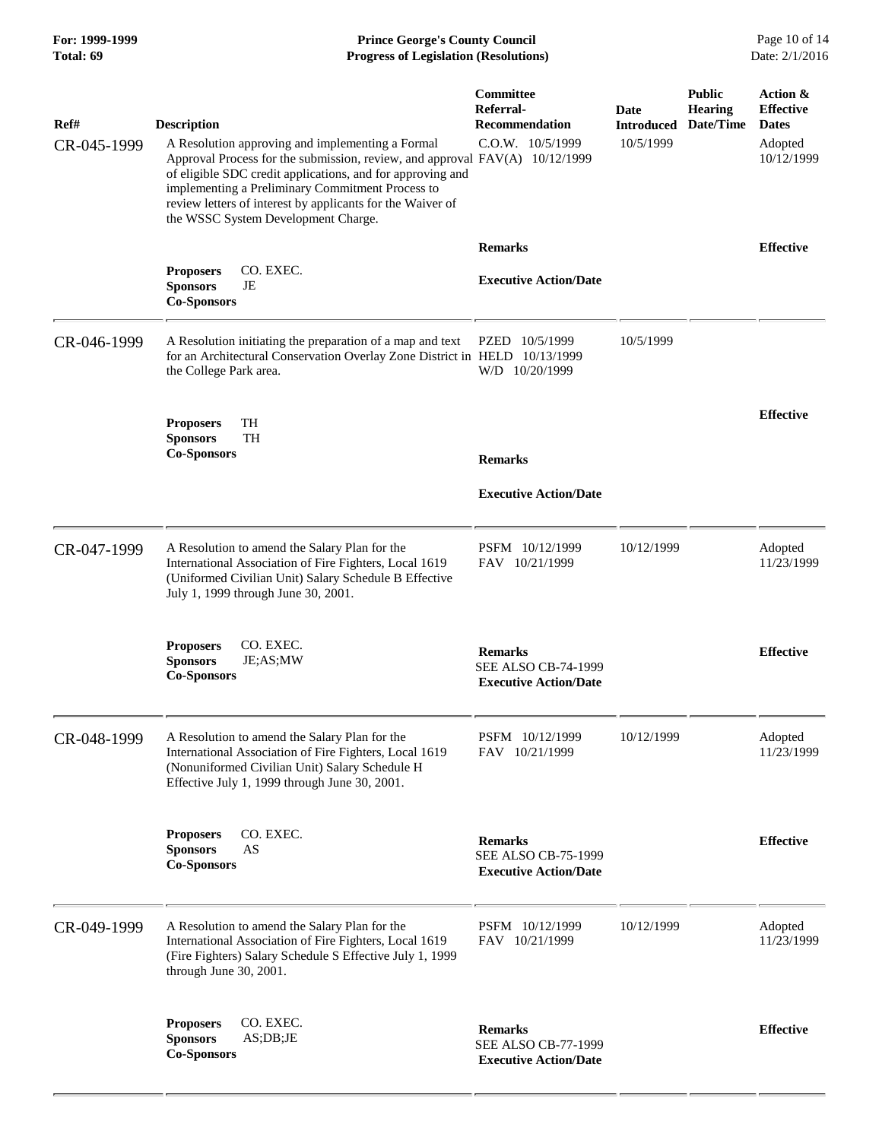| For: 1999-1999<br>Total: 69 | <b>Prince George's County Council</b><br>Date: 2/1/2016<br><b>Progress of Legislation (Resolutions)</b>                                                                                                                                                                                                                                                                      |                                                                              |                                        |                                              |                                                                       |
|-----------------------------|------------------------------------------------------------------------------------------------------------------------------------------------------------------------------------------------------------------------------------------------------------------------------------------------------------------------------------------------------------------------------|------------------------------------------------------------------------------|----------------------------------------|----------------------------------------------|-----------------------------------------------------------------------|
| Ref#<br>CR-045-1999         | <b>Description</b><br>A Resolution approving and implementing a Formal<br>Approval Process for the submission, review, and approval FAV(A) 10/12/1999<br>of eligible SDC credit applications, and for approving and<br>implementing a Preliminary Commitment Process to<br>review letters of interest by applicants for the Waiver of<br>the WSSC System Development Charge. | <b>Committee</b><br>Referral-<br><b>Recommendation</b><br>C.O.W. 10/5/1999   | Date<br><b>Introduced</b><br>10/5/1999 | <b>Public</b><br><b>Hearing</b><br>Date/Time | Action &<br><b>Effective</b><br><b>Dates</b><br>Adopted<br>10/12/1999 |
|                             | CO. EXEC.<br><b>Proposers</b><br><b>Sponsors</b><br>JE<br><b>Co-Sponsors</b>                                                                                                                                                                                                                                                                                                 | <b>Remarks</b><br><b>Executive Action/Date</b>                               |                                        |                                              | <b>Effective</b>                                                      |
| CR-046-1999                 | A Resolution initiating the preparation of a map and text<br>for an Architectural Conservation Overlay Zone District in HELD 10/13/1999<br>the College Park area.                                                                                                                                                                                                            | PZED 10/5/1999<br>W/D 10/20/1999                                             | 10/5/1999                              |                                              |                                                                       |
|                             | TH<br><b>Proposers</b><br><b>Sponsors</b><br><b>TH</b><br><b>Co-Sponsors</b>                                                                                                                                                                                                                                                                                                 | <b>Remarks</b><br><b>Executive Action/Date</b>                               |                                        |                                              | <b>Effective</b>                                                      |
| CR-047-1999                 | A Resolution to amend the Salary Plan for the<br>International Association of Fire Fighters, Local 1619<br>(Uniformed Civilian Unit) Salary Schedule B Effective<br>July 1, 1999 through June 30, 2001.                                                                                                                                                                      | PSFM 10/12/1999<br>FAV 10/21/1999                                            | 10/12/1999                             |                                              | Adopted<br>11/23/1999                                                 |
|                             | CO. EXEC.<br><b>Proposers</b><br>JE;AS;MW<br><b>Sponsors</b><br><b>Co-Sponsors</b>                                                                                                                                                                                                                                                                                           | <b>Remarks</b><br><b>SEE ALSO CB-74-1999</b><br><b>Executive Action/Date</b> |                                        |                                              | <b>Effective</b>                                                      |
| CR-048-1999                 | A Resolution to amend the Salary Plan for the<br>International Association of Fire Fighters, Local 1619<br>(Nonuniformed Civilian Unit) Salary Schedule H<br>Effective July 1, 1999 through June 30, 2001.                                                                                                                                                                   | PSFM 10/12/1999<br>FAV 10/21/1999                                            | 10/12/1999                             |                                              | Adopted<br>11/23/1999                                                 |
|                             | CO. EXEC.<br><b>Proposers</b><br><b>Sponsors</b><br>AS<br><b>Co-Sponsors</b>                                                                                                                                                                                                                                                                                                 | <b>Remarks</b><br><b>SEE ALSO CB-75-1999</b><br><b>Executive Action/Date</b> |                                        |                                              | <b>Effective</b>                                                      |
| CR-049-1999                 | A Resolution to amend the Salary Plan for the<br>International Association of Fire Fighters, Local 1619<br>(Fire Fighters) Salary Schedule S Effective July 1, 1999<br>through June 30, 2001.                                                                                                                                                                                | PSFM 10/12/1999<br>FAV 10/21/1999                                            | 10/12/1999                             |                                              | Adopted<br>11/23/1999                                                 |
|                             | CO. EXEC.<br><b>Proposers</b><br><b>Sponsors</b><br>AS;DB;JE<br><b>Co-Sponsors</b>                                                                                                                                                                                                                                                                                           | <b>Remarks</b><br><b>SEE ALSO CB-77-1999</b><br><b>Executive Action/Date</b> |                                        |                                              | <b>Effective</b>                                                      |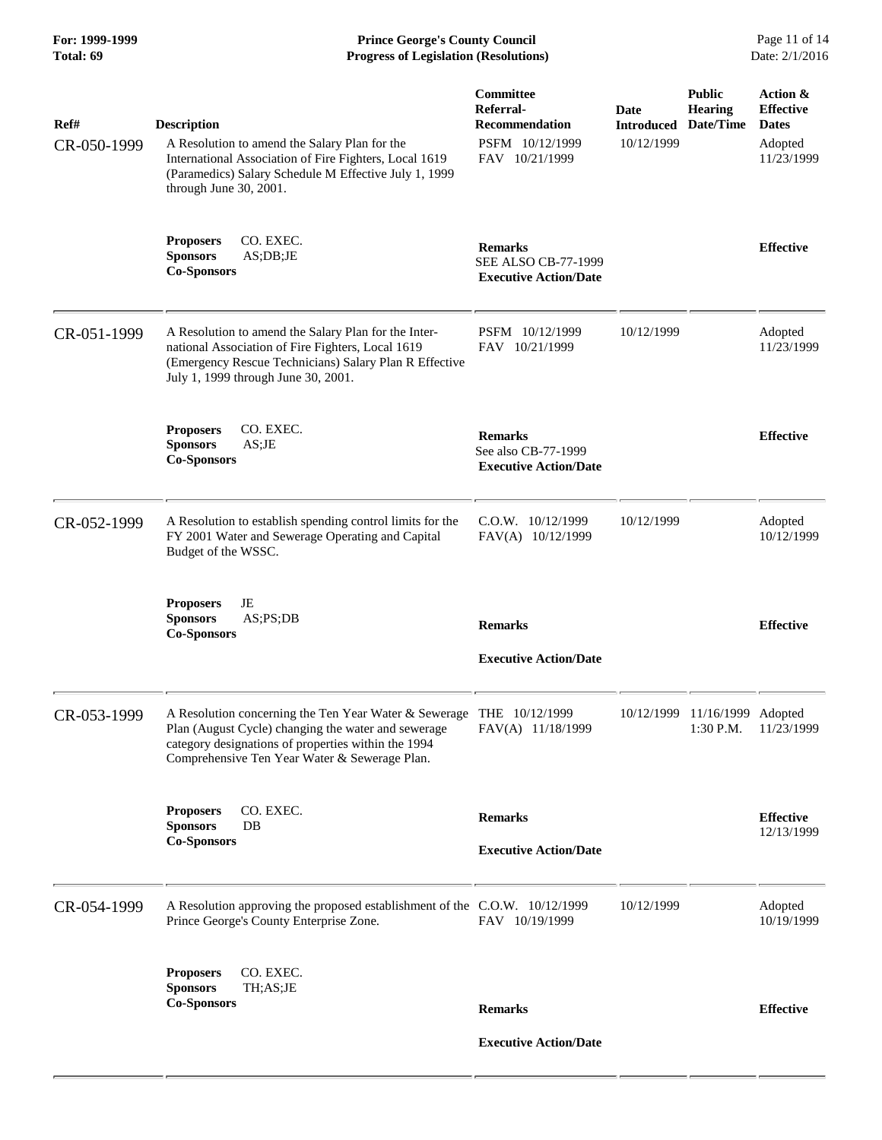**For: 1999-1999 Prince George's County Council** Page 11 of 14<br> **Progress of Legislation (Resolutions)** Date: 2/1/2016 **Total: 69 Progress of Legislation (Resolutions)** 

| Ref#        | <b>Description</b>                                                                                                                                                                                                                                    | Committee<br>Referral-<br><b>Recommendation</b>                              | <b>Date</b><br><b>Introduced</b> | <b>Public</b><br><b>Hearing</b><br>Date/Time | Action &<br><b>Effective</b><br><b>Dates</b> |
|-------------|-------------------------------------------------------------------------------------------------------------------------------------------------------------------------------------------------------------------------------------------------------|------------------------------------------------------------------------------|----------------------------------|----------------------------------------------|----------------------------------------------|
| CR-050-1999 | A Resolution to amend the Salary Plan for the<br>International Association of Fire Fighters, Local 1619<br>(Paramedics) Salary Schedule M Effective July 1, 1999<br>through June 30, 2001.                                                            | PSFM 10/12/1999<br>FAV 10/21/1999                                            | 10/12/1999                       |                                              | Adopted<br>11/23/1999                        |
|             | CO. EXEC.<br><b>Proposers</b><br><b>Sponsors</b><br>AS;DB;JE<br><b>Co-Sponsors</b>                                                                                                                                                                    | <b>Remarks</b><br><b>SEE ALSO CB-77-1999</b><br><b>Executive Action/Date</b> |                                  |                                              | <b>Effective</b>                             |
| CR-051-1999 | A Resolution to amend the Salary Plan for the Inter-<br>national Association of Fire Fighters, Local 1619<br>(Emergency Rescue Technicians) Salary Plan R Effective<br>July 1, 1999 through June 30, 2001.                                            | PSFM 10/12/1999<br>FAV 10/21/1999                                            | 10/12/1999                       |                                              | Adopted<br>11/23/1999                        |
|             | CO. EXEC.<br><b>Proposers</b><br><b>Sponsors</b><br>AS;JE<br><b>Co-Sponsors</b>                                                                                                                                                                       | <b>Remarks</b><br>See also CB-77-1999<br><b>Executive Action/Date</b>        |                                  |                                              | <b>Effective</b>                             |
| CR-052-1999 | A Resolution to establish spending control limits for the<br>FY 2001 Water and Sewerage Operating and Capital<br>Budget of the WSSC.                                                                                                                  | $C.0.W.$ $10/12/1999$<br>FAV(A) 10/12/1999                                   | 10/12/1999                       |                                              | Adopted<br>10/12/1999                        |
|             | JE<br><b>Proposers</b><br><b>Sponsors</b><br>AS; PS; DB<br><b>Co-Sponsors</b>                                                                                                                                                                         | <b>Remarks</b><br><b>Executive Action/Date</b>                               |                                  |                                              | <b>Effective</b>                             |
| CR-053-1999 | A Resolution concerning the Ten Year Water & Sewerage THE 10/12/1999<br>Plan (August Cycle) changing the water and sewerage FAV(A) 11/18/1999<br>category designations of properties within the 1994<br>Comprehensive Ten Year Water & Sewerage Plan. |                                                                              |                                  | 10/12/1999 11/16/1999 Adopted                | 1:30 P.M. 11/23/1999                         |
|             | CO. EXEC.<br><b>Proposers</b><br><b>Sponsors</b><br>DB<br><b>Co-Sponsors</b>                                                                                                                                                                          | <b>Remarks</b><br><b>Executive Action/Date</b>                               |                                  |                                              | <b>Effective</b><br>12/13/1999               |
| CR-054-1999 | A Resolution approving the proposed establishment of the C.O.W. 10/12/1999<br>Prince George's County Enterprise Zone.                                                                                                                                 | FAV 10/19/1999                                                               | 10/12/1999                       |                                              | Adopted<br>10/19/1999                        |
|             | CO. EXEC.<br><b>Proposers</b><br><b>Sponsors</b><br>TH;AS;JE<br><b>Co-Sponsors</b>                                                                                                                                                                    | <b>Remarks</b>                                                               |                                  |                                              | <b>Effective</b>                             |
|             |                                                                                                                                                                                                                                                       | <b>Executive Action/Date</b>                                                 |                                  |                                              |                                              |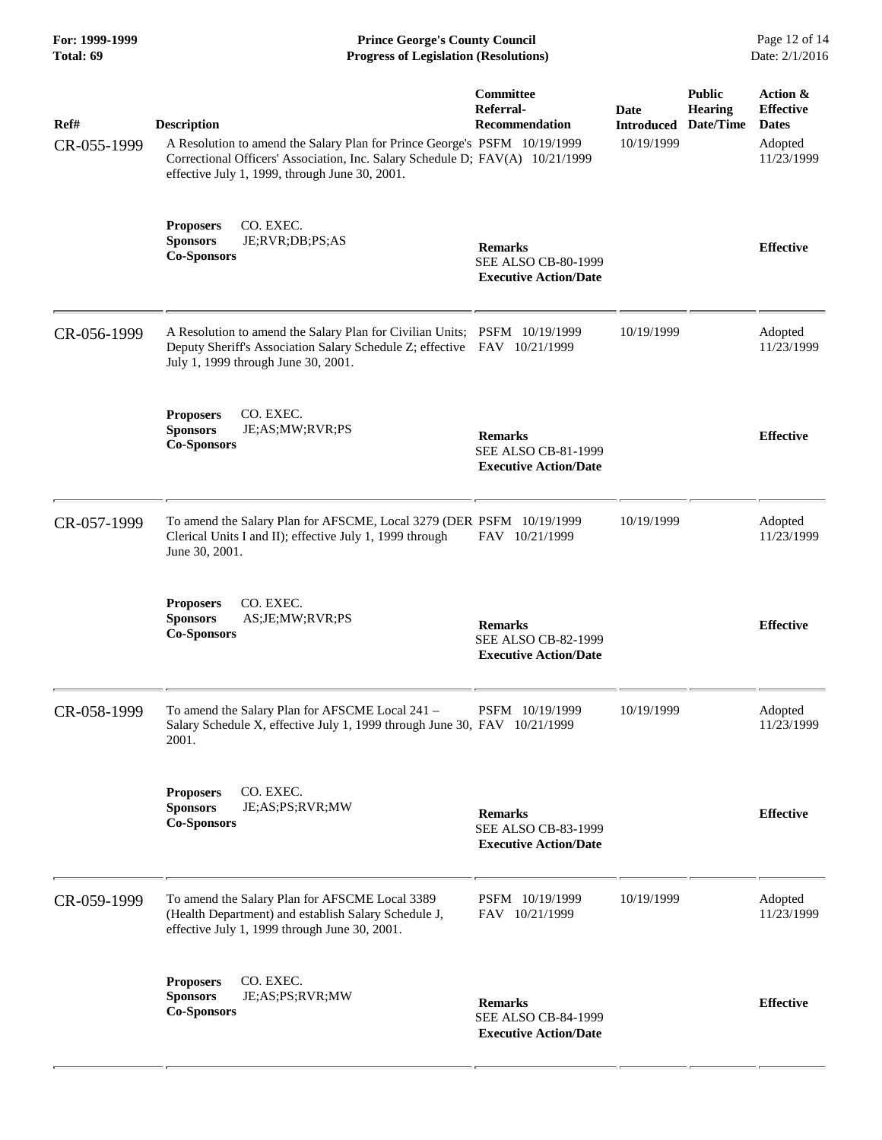| For: 1999-1999<br>Total: 69 | <b>Prince George's County Council</b><br>Date: 2/1/2016<br><b>Progress of Legislation (Resolutions)</b>                                                                                                                            |                                                                              |                                         |                                       |                                                                       |
|-----------------------------|------------------------------------------------------------------------------------------------------------------------------------------------------------------------------------------------------------------------------------|------------------------------------------------------------------------------|-----------------------------------------|---------------------------------------|-----------------------------------------------------------------------|
| Ref#<br>CR-055-1999         | <b>Description</b><br>A Resolution to amend the Salary Plan for Prince George's PSFM 10/19/1999<br>Correctional Officers' Association, Inc. Salary Schedule D; FAV(A) 10/21/1999<br>effective July 1, 1999, through June 30, 2001. | <b>Committee</b><br>Referral-<br><b>Recommendation</b>                       | Date<br><b>Introduced</b><br>10/19/1999 | <b>Public</b><br>Hearing<br>Date/Time | Action &<br><b>Effective</b><br><b>Dates</b><br>Adopted<br>11/23/1999 |
|                             | CO. EXEC.<br><b>Proposers</b><br>JE;RVR;DB;PS;AS<br><b>Sponsors</b><br><b>Co-Sponsors</b>                                                                                                                                          | <b>Remarks</b><br>SEE ALSO CB-80-1999<br><b>Executive Action/Date</b>        |                                         |                                       | <b>Effective</b>                                                      |
| CR-056-1999                 | A Resolution to amend the Salary Plan for Civilian Units; PSFM 10/19/1999<br>Deputy Sheriff's Association Salary Schedule Z; effective FAV 10/21/1999<br>July 1, 1999 through June 30, 2001.                                       |                                                                              | 10/19/1999                              |                                       | Adopted<br>11/23/1999                                                 |
|                             | CO. EXEC.<br><b>Proposers</b><br><b>Sponsors</b><br>JE;AS;MW;RVR;PS<br><b>Co-Sponsors</b>                                                                                                                                          | <b>Remarks</b><br>SEE ALSO CB-81-1999<br><b>Executive Action/Date</b>        |                                         |                                       | <b>Effective</b>                                                      |
| CR-057-1999                 | To amend the Salary Plan for AFSCME, Local 3279 (DER PSFM 10/19/1999<br>Clerical Units I and II); effective July 1, 1999 through<br>June 30, 2001.                                                                                 | FAV 10/21/1999                                                               | 10/19/1999                              |                                       | Adopted<br>11/23/1999                                                 |
|                             | CO. EXEC.<br><b>Proposers</b><br><b>Sponsors</b><br>AS;JE;MW;RVR;PS<br><b>Co-Sponsors</b>                                                                                                                                          | <b>Remarks</b><br><b>SEE ALSO CB-82-1999</b><br><b>Executive Action/Date</b> |                                         |                                       | <b>Effective</b>                                                      |
| CR-058-1999                 | To amend the Salary Plan for AFSCME Local 241 -<br>Salary Schedule X, effective July 1, 1999 through June 30, FAV 10/21/1999<br>2001.                                                                                              | PSFM 10/19/1999                                                              | 10/19/1999                              |                                       | Adopted<br>11/23/1999                                                 |
|                             | CO. EXEC.<br><b>Proposers</b><br>JE;AS;PS;RVR;MW<br><b>Sponsors</b><br><b>Co-Sponsors</b>                                                                                                                                          | <b>Remarks</b><br><b>SEE ALSO CB-83-1999</b><br><b>Executive Action/Date</b> |                                         |                                       | <b>Effective</b>                                                      |
| CR-059-1999                 | To amend the Salary Plan for AFSCME Local 3389<br>(Health Department) and establish Salary Schedule J,<br>effective July 1, 1999 through June 30, 2001.                                                                            | PSFM 10/19/1999<br>FAV 10/21/1999                                            | 10/19/1999                              |                                       | Adopted<br>11/23/1999                                                 |
|                             | <b>Proposers</b><br>CO. EXEC.<br><b>Sponsors</b><br>JE;AS;PS;RVR;MW<br><b>Co-Sponsors</b>                                                                                                                                          | <b>Remarks</b><br>SEE ALSO CB-84-1999<br><b>Executive Action/Date</b>        |                                         |                                       | <b>Effective</b>                                                      |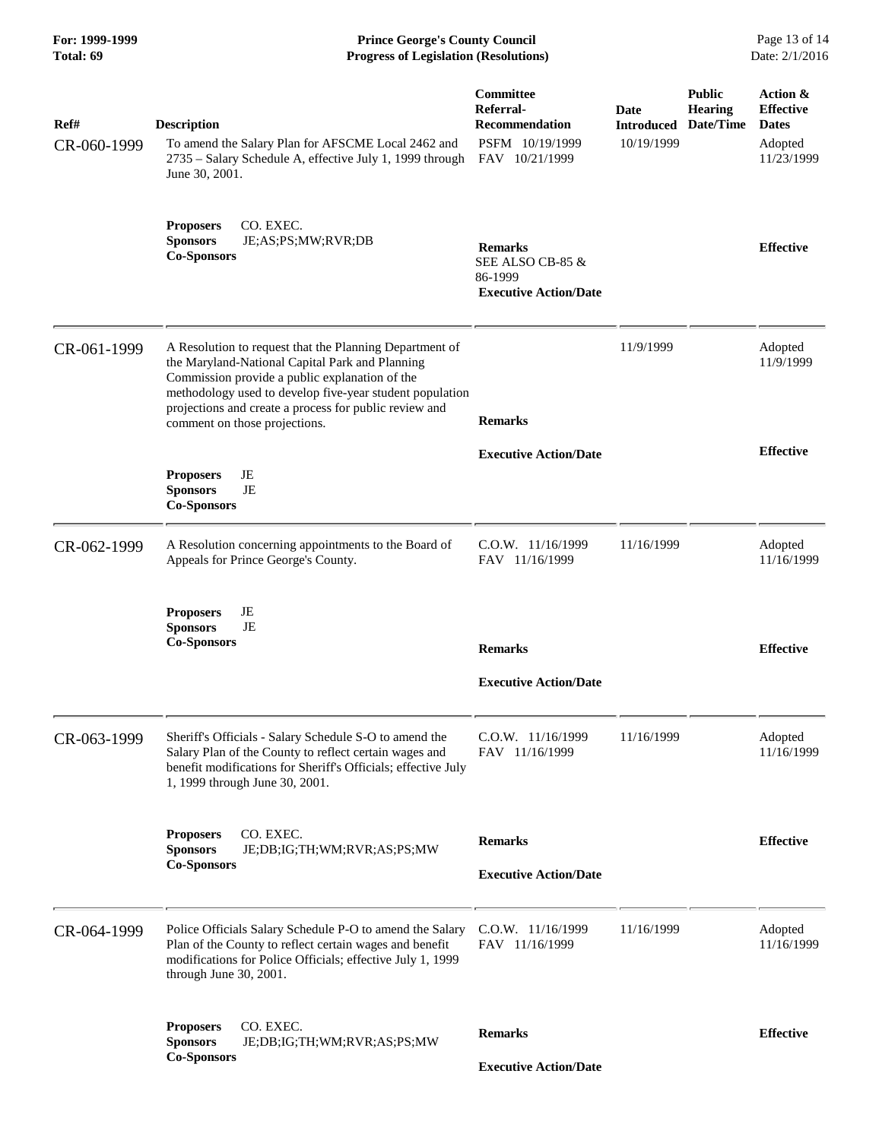| For: 1999-1999<br>Total: 69 | <b>Prince George's County Council</b><br><b>Progress of Legislation (Resolutions)</b>                                                                                                                                                                                                                               |                                                                                             |                                                   |                                 | Page 13 of 14<br>Date: 2/1/2016                                       |  |
|-----------------------------|---------------------------------------------------------------------------------------------------------------------------------------------------------------------------------------------------------------------------------------------------------------------------------------------------------------------|---------------------------------------------------------------------------------------------|---------------------------------------------------|---------------------------------|-----------------------------------------------------------------------|--|
| Ref#<br>CR-060-1999         | <b>Description</b><br>To amend the Salary Plan for AFSCME Local 2462 and<br>2735 – Salary Schedule A, effective July 1, 1999 through<br>June 30, 2001.                                                                                                                                                              | <b>Committee</b><br>Referral-<br><b>Recommendation</b><br>PSFM 10/19/1999<br>FAV 10/21/1999 | Date<br><b>Introduced Date/Time</b><br>10/19/1999 | <b>Public</b><br><b>Hearing</b> | Action &<br><b>Effective</b><br><b>Dates</b><br>Adopted<br>11/23/1999 |  |
|                             | CO. EXEC.<br><b>Proposers</b><br><b>Sponsors</b><br>JE;AS;PS;MW;RVR;DB<br><b>Co-Sponsors</b>                                                                                                                                                                                                                        | <b>Remarks</b><br>SEE ALSO CB-85 &<br>86-1999<br><b>Executive Action/Date</b>               |                                                   |                                 | <b>Effective</b>                                                      |  |
| CR-061-1999                 | A Resolution to request that the Planning Department of<br>the Maryland-National Capital Park and Planning<br>Commission provide a public explanation of the<br>methodology used to develop five-year student population<br>projections and create a process for public review and<br>comment on those projections. | <b>Remarks</b>                                                                              | 11/9/1999                                         |                                 | Adopted<br>11/9/1999                                                  |  |
|                             | JE<br><b>Proposers</b><br><b>Sponsors</b><br>JE<br><b>Co-Sponsors</b>                                                                                                                                                                                                                                               | <b>Executive Action/Date</b>                                                                |                                                   |                                 | <b>Effective</b>                                                      |  |
| CR-062-1999                 | A Resolution concerning appointments to the Board of<br>Appeals for Prince George's County.                                                                                                                                                                                                                         | C.O.W. 11/16/1999<br>FAV 11/16/1999                                                         | 11/16/1999                                        |                                 | Adopted<br>11/16/1999                                                 |  |
|                             | JE<br><b>Proposers</b><br><b>Sponsors</b><br>JE<br><b>Co-Sponsors</b>                                                                                                                                                                                                                                               | <b>Remarks</b><br><b>Executive Action/Date</b>                                              |                                                   |                                 | <b>Effective</b>                                                      |  |
| CR-063-1999                 | Sheriff's Officials - Salary Schedule S-O to amend the<br>Salary Plan of the County to reflect certain wages and<br>benefit modifications for Sheriff's Officials; effective July<br>1, 1999 through June 30, 2001.                                                                                                 | C.O.W. 11/16/1999<br>FAV 11/16/1999                                                         | 11/16/1999                                        |                                 | Adopted<br>11/16/1999                                                 |  |
|                             | CO. EXEC.<br><b>Proposers</b><br><b>Sponsors</b><br>JE;DB;IG;TH;WM;RVR;AS;PS;MW<br><b>Co-Sponsors</b>                                                                                                                                                                                                               | <b>Remarks</b><br><b>Executive Action/Date</b>                                              |                                                   |                                 | <b>Effective</b>                                                      |  |
| CR-064-1999                 | Police Officials Salary Schedule P-O to amend the Salary<br>Plan of the County to reflect certain wages and benefit<br>modifications for Police Officials; effective July 1, 1999<br>through June 30, 2001.                                                                                                         | C.O.W. 11/16/1999<br>FAV 11/16/1999                                                         | 11/16/1999                                        |                                 | Adopted<br>11/16/1999                                                 |  |
|                             | CO. EXEC.<br><b>Proposers</b><br><b>Sponsors</b><br>JE;DB;IG;TH;WM;RVR;AS;PS;MW                                                                                                                                                                                                                                     | <b>Remarks</b>                                                                              |                                                   |                                 | <b>Effective</b>                                                      |  |
|                             | <b>Co-Sponsors</b>                                                                                                                                                                                                                                                                                                  | <b>Executive Action/Date</b>                                                                |                                                   |                                 |                                                                       |  |